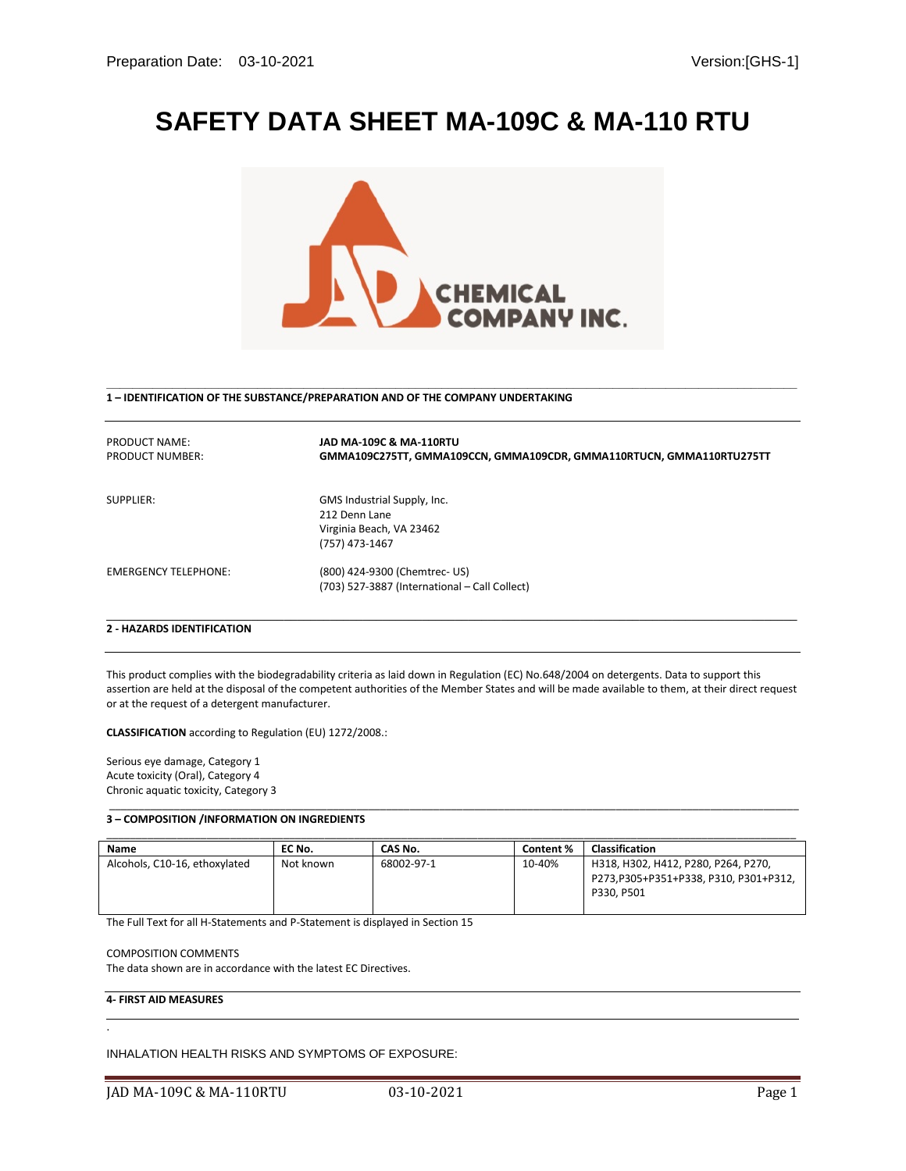# **SAFETY DATA SHEET MA-109C & MA-110 RTU**



 **\_\_\_\_\_\_\_\_\_\_\_\_\_\_\_\_\_\_\_\_\_\_\_\_\_\_\_\_\_\_\_\_\_\_\_\_\_\_\_\_\_\_\_\_\_\_\_\_\_\_\_\_\_\_\_\_\_\_\_\_\_\_\_\_\_\_\_\_\_\_\_\_\_\_\_\_\_\_\_\_\_\_\_\_\_\_\_\_\_\_\_\_\_\_\_\_\_\_\_\_\_\_\_\_\_ 1 – IDENTIFICATION OF THE SUBSTANCE/PREPARATION AND OF THE COMPANY UNDERTAKING**

| PRODUCT NAME:<br>PRODUCT NUMBER:  | JAD MA-109C & MA-110RTU<br>GMMA109C275TT, GMMA109CCN, GMMA109CDR, GMMA110RTUCN, GMMA110RTU275TT |
|-----------------------------------|-------------------------------------------------------------------------------------------------|
| SUPPLIER:                         | GMS Industrial Supply, Inc.<br>212 Denn Lane<br>Virginia Beach, VA 23462<br>(757) 473-1467      |
| <b>EMERGENCY TELEPHONE:</b>       | (800) 424-9300 (Chemtrec- US)<br>(703) 527-3887 (International - Call Collect)                  |
| <b>2 - HAZARDS IDENTIFICATION</b> |                                                                                                 |

This product complies with the biodegradability criteria as laid down in Regulation (EC) No.648/2004 on detergents. Data to support this assertion are held at the disposal of the competent authorities of the Member States and will be made available to them, at their direct request or at the request of a detergent manufacturer.

**CLASSIFICATION** according to Regulation (EU) 1272/2008.:

Serious eye damage, Category 1 Acute toxicity (Oral), Category 4 Chronic aquatic toxicity, Category 3

#### \_\_\_\_\_\_\_\_\_\_\_\_\_\_\_\_\_\_\_\_\_\_\_\_\_\_\_\_\_\_\_\_\_\_\_\_\_\_\_\_\_\_\_\_\_\_\_\_\_\_\_\_\_\_\_\_\_\_\_\_\_\_\_\_\_\_\_\_\_\_\_\_\_\_\_\_\_\_\_\_\_\_\_\_\_\_\_\_\_\_\_\_\_\_\_\_\_\_\_\_\_\_\_\_\_\_\_\_\_\_\_\_\_\_\_\_\_ **3 – COMPOSITION /INFORMATION ON INGREDIENTS**

| Name                          | EC No.    | CAS No.    | Content % | <b>Classification</b>                                                                      |
|-------------------------------|-----------|------------|-----------|--------------------------------------------------------------------------------------------|
| Alcohols, C10-16, ethoxylated | Not known | 68002-97-1 | 10-40%    | H318, H302, H412, P280, P264, P270,<br>P273,P305+P351+P338, P310, P301+P312,<br>P330, P501 |

The Full Text for all H-Statements and P-Statement is displayed in Section 15

#### COMPOSITION COMMENTS

The data shown are in accordance with the latest EC Directives.

## **4- FIRST AID MEASURES**

.

INHALATION HEALTH RISKS AND SYMPTOMS OF EXPOSURE: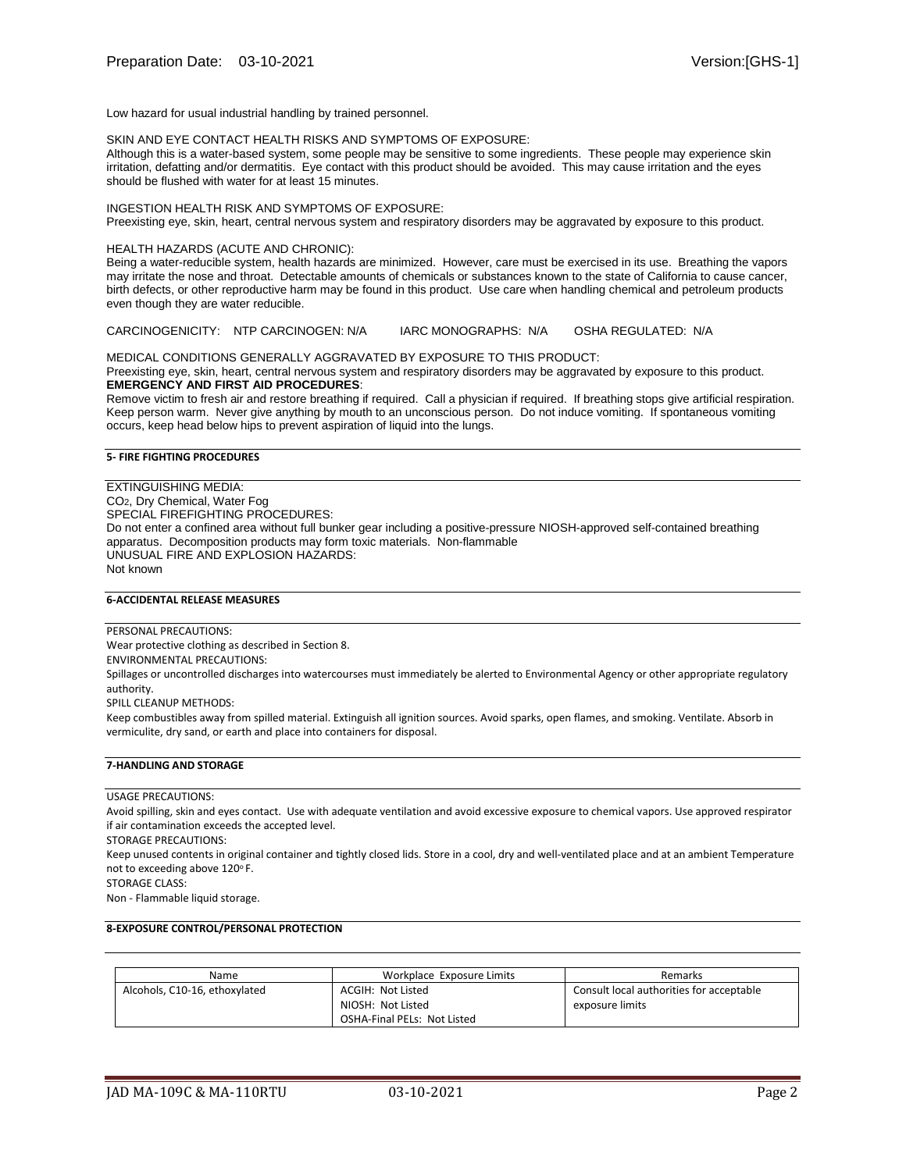Low hazard for usual industrial handling by trained personnel.

SKIN AND EYE CONTACT HEALTH RISKS AND SYMPTOMS OF EXPOSURE:

Although this is a water-based system, some people may be sensitive to some ingredients. These people may experience skin irritation, defatting and/or dermatitis. Eye contact with this product should be avoided. This may cause irritation and the eyes should be flushed with water for at least 15 minutes.

INGESTION HEALTH RISK AND SYMPTOMS OF EXPOSURE: Preexisting eye, skin, heart, central nervous system and respiratory disorders may be aggravated by exposure to this product.

#### HEALTH HAZARDS (ACUTE AND CHRONIC):

Being a water-reducible system, health hazards are minimized. However, care must be exercised in its use. Breathing the vapors may irritate the nose and throat. Detectable amounts of chemicals or substances known to the state of California to cause cancer, birth defects, or other reproductive harm may be found in this product. Use care when handling chemical and petroleum products even though they are water reducible.

CARCINOGENICITY: NTP CARCINOGEN: N/A IARC MONOGRAPHS: N/A OSHA REGULATED: N/A

MEDICAL CONDITIONS GENERALLY AGGRAVATED BY EXPOSURE TO THIS PRODUCT:

Preexisting eye, skin, heart, central nervous system and respiratory disorders may be aggravated by exposure to this product. **EMERGENCY AND FIRST AID PROCEDURES**:

Remove victim to fresh air and restore breathing if required. Call a physician if required. If breathing stops give artificial respiration. Keep person warm. Never give anything by mouth to an unconscious person. Do not induce vomiting. If spontaneous vomiting occurs, keep head below hips to prevent aspiration of liquid into the lungs.

#### **5- FIRE FIGHTING PROCEDURES**

EXTINGUISHING MEDIA: CO2, Dry Chemical, Water Fog SPECIAL FIREFIGHTING PROCEDURES: Do not enter a confined area without full bunker gear including a positive-pressure NIOSH-approved self-contained breathing apparatus. Decomposition products may form toxic materials. Non-flammable UNUSUAL FIRE AND EXPLOSION HAZARDS: Not known

## **6-ACCIDENTAL RELEASE MEASURES**

PERSONAL PRECAUTIONS:

Wear protective clothing as described in Section 8.

ENVIRONMENTAL PRECAUTIONS:

Spillages or uncontrolled discharges into watercourses must immediately be alerted to Environmental Agency or other appropriate regulatory authority.

SPILL CLEANUP METHODS:

Keep combustibles away from spilled material. Extinguish all ignition sources. Avoid sparks, open flames, and smoking. Ventilate. Absorb in vermiculite, dry sand, or earth and place into containers for disposal.

## **7-HANDLING AND STORAGE**

USAGE PRECAUTIONS:

Avoid spilling, skin and eyes contact. Use with adequate ventilation and avoid excessive exposure to chemical vapors. Use approved respirator if air contamination exceeds the accepted level.

STORAGE PRECAUTIONS:

Keep unused contents in original container and tightly closed lids. Store in a cool, dry and well-ventilated place and at an ambient Temperature not to exceeding above 120°F.

STORAGE CLASS:

Non - Flammable liquid storage.

### **8-EXPOSURE CONTROL/PERSONAL PROTECTION**

| Name                          | Workplace Exposure Limits                                                    | Remarks                                                     |
|-------------------------------|------------------------------------------------------------------------------|-------------------------------------------------------------|
| Alcohols, C10-16, ethoxylated | ACGIH: Not Listed<br>NIOSH: Not Listed<br><b>OSHA-Final PELs: Not Listed</b> | Consult local authorities for acceptable<br>exposure limits |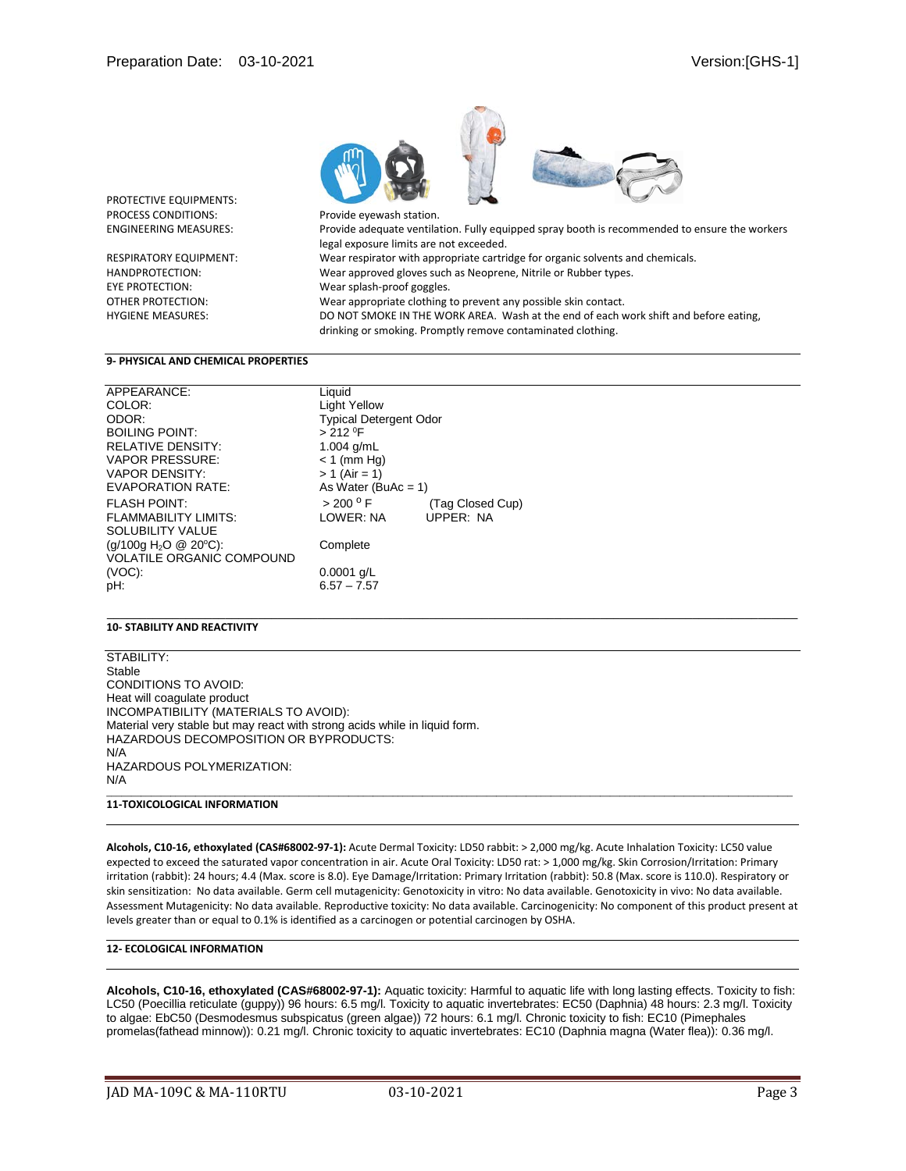

PROTECTIVE EQUIPMENTS:

HANDPROTECTION: Wear approved gloves such as Neoprene, Nitrile or Rubber types. EYE PROTECTION: Wear splash-proof goggles. OTHER PROTECTION: Wear appropriate clothing to prevent any possible skin contact. HYGIENE MEASURES: DO NOT SMOKE IN THE WORK AREA. Wash at the end of each work shift and before eating, drinking or smoking. Promptly remove contaminated clothing.

#### **9- PHYSICAL AND CHEMICAL PROPERTIES**

| APPEARANCE:                       | Liquid                        |                  |
|-----------------------------------|-------------------------------|------------------|
| COLOR:                            | <b>Light Yellow</b>           |                  |
| ODOR:                             | <b>Typical Detergent Odor</b> |                  |
| <b>BOILING POINT:</b>             | $> 212$ <sup>0</sup> F        |                  |
| <b>RELATIVE DENSITY:</b>          | 1.004 $q/mL$                  |                  |
| <b>VAPOR PRESSURE:</b>            | $< 1$ (mm Hg)                 |                  |
| <b>VAPOR DENSITY:</b>             | $> 1$ (Air = 1)               |                  |
| EVAPORATION RATE:                 | As Water (BuAc = $1$ )        |                  |
| <b>FLASH POINT:</b>               | > 200 °F                      | (Tag Closed Cup) |
| <b>FLAMMABILITY LIMITS:</b>       | LOWER: NA                     | <b>UPPER: NA</b> |
| <b>SOLUBILITY VALUE</b>           |                               |                  |
| (g/100g H <sub>2</sub> O @ 20°C): | Complete                      |                  |
| <b>VOLATILE ORGANIC COMPOUND</b>  |                               |                  |
| $(VOC)$ :                         | $0.0001$ g/L                  |                  |
| pH:                               | $6.57 - 7.57$                 |                  |
|                                   |                               |                  |

## **10- STABILITY AND REACTIVITY**

STABILITY: Stable CONDITIONS TO AVOID: Heat will coagulate product INCOMPATIBILITY (MATERIALS TO AVOID): Material very stable but may react with strong acids while in liquid form. HAZARDOUS DECOMPOSITION OR BYPRODUCTS: N/A HAZARDOUS POLYMERIZATION: N/A \_\_\_\_\_\_\_\_\_\_\_\_\_\_\_\_\_\_\_\_\_\_\_\_\_\_\_\_\_\_\_\_\_\_\_\_\_\_\_\_\_\_\_\_\_\_\_\_\_\_\_\_\_\_\_\_\_\_\_\_\_\_\_\_\_\_\_\_\_\_\_\_\_\_\_\_\_\_\_\_\_\_\_\_\_\_\_\_\_\_\_\_\_\_\_\_\_\_\_\_\_\_\_\_\_\_\_\_\_\_\_\_\_\_\_\_\_\_\_\_\_\_\_\_\_\_\_\_\_\_\_\_\_\_\_\_\_\_\_

## **11-TOXICOLOGICAL INFORMATION**

**Alcohols, C10-16, ethoxylated (CAS#68002-97-1):** Acute Dermal Toxicity: LD50 rabbit: > 2,000 mg/kg. Acute Inhalation Toxicity: LC50 value expected to exceed the saturated vapor concentration in air. Acute Oral Toxicity: LD50 rat: > 1,000 mg/kg. Skin Corrosion/Irritation: Primary irritation (rabbit): 24 hours; 4.4 (Max. score is 8.0). Eye Damage/Irritation: Primary Irritation (rabbit): 50.8 (Max. score is 110.0). Respiratory or skin sensitization: No data available. Germ cell mutagenicity: Genotoxicity in vitro: No data available. Genotoxicity in vivo: No data available. Assessment Mutagenicity: No data available. Reproductive toxicity: No data available. Carcinogenicity: No component of this product present at levels greater than or equal to 0.1% is identified as a carcinogen or potential carcinogen by OSHA.

\_\_\_\_\_\_\_\_\_\_\_\_\_\_\_\_\_\_\_\_\_\_\_\_\_\_\_\_\_\_\_\_\_\_\_\_\_\_\_\_\_\_\_\_\_\_\_\_\_\_\_\_\_\_\_\_\_\_\_\_\_\_\_\_\_\_\_\_\_\_\_\_\_\_\_\_\_\_\_\_\_\_\_\_\_\_\_\_\_\_\_\_\_\_\_\_\_\_\_\_\_\_\_\_\_

#### **12- ECOLOGICAL INFORMATION**

**Alcohols, C10-16, ethoxylated (CAS#68002-97-1):** Aquatic toxicity: Harmful to aquatic life with long lasting effects. Toxicity to fish: LC50 (Poecillia reticulate (guppy)) 96 hours: 6.5 mg/l. Toxicity to aquatic invertebrates: EC50 (Daphnia) 48 hours: 2.3 mg/l. Toxicity to algae: EbC50 (Desmodesmus subspicatus (green algae)) 72 hours: 6.1 mg/l. Chronic toxicity to fish: EC10 (Pimephales promelas(fathead minnow)): 0.21 mg/l. Chronic toxicity to aquatic invertebrates: EC10 (Daphnia magna (Water flea)): 0.36 mg/l.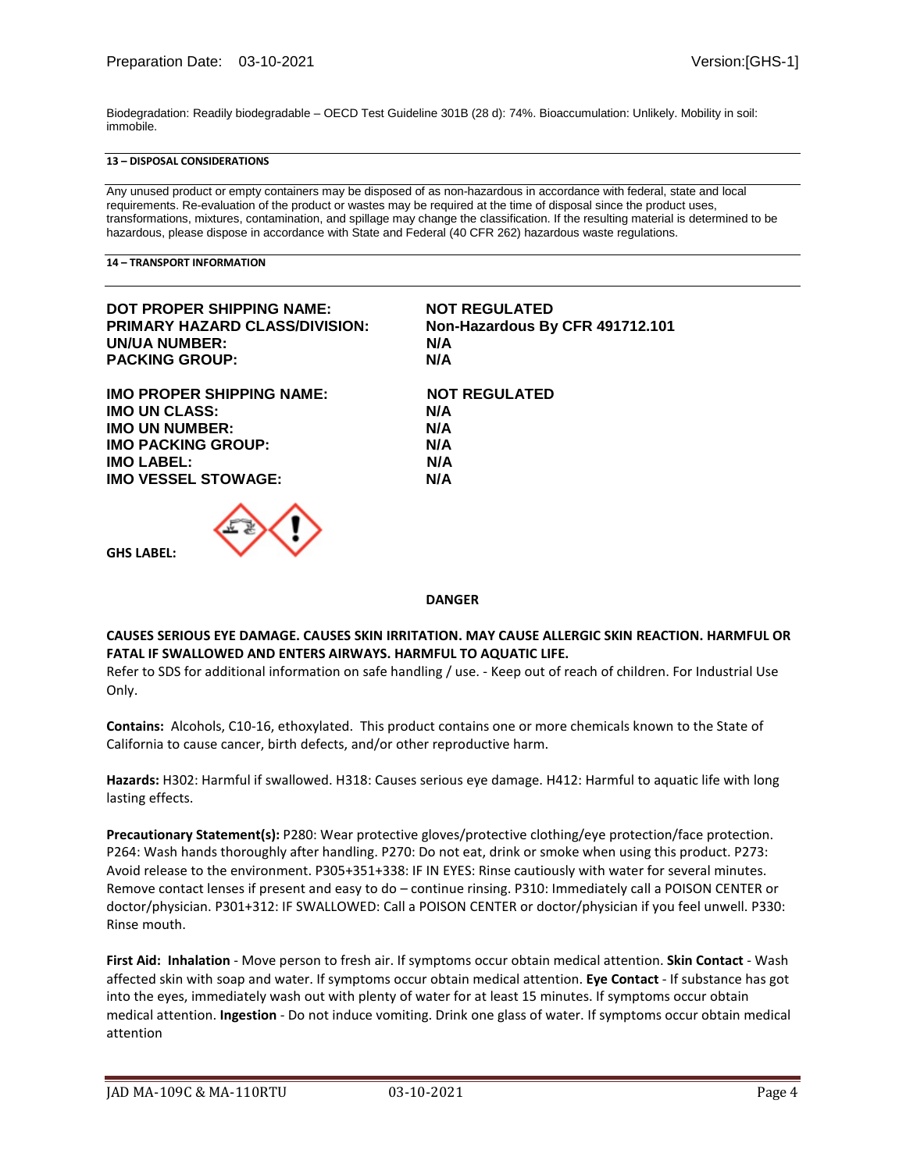Biodegradation: Readily biodegradable – OECD Test Guideline 301B (28 d): 74%. Bioaccumulation: Unlikely. Mobility in soil: immobile.

### **13 – DISPOSAL CONSIDERATIONS**

Any unused product or empty containers may be disposed of as non-hazardous in accordance with federal, state and local requirements. Re-evaluation of the product or wastes may be required at the time of disposal since the product uses, transformations, mixtures, contamination, and spillage may change the classification. If the resulting material is determined to be hazardous, please dispose in accordance with State and Federal (40 CFR 262) hazardous waste regulations.

**14 – TRANSPORT INFORMATION**

**GHS LABEL:**

| DOT PROPER SHIPPING NAME:             | <b>NOT REGULATED</b>            |
|---------------------------------------|---------------------------------|
| <b>PRIMARY HAZARD CLASS/DIVISION:</b> | Non-Hazardous By CFR 491712.101 |
| UN/UA NUMBER:                         | N/A                             |
| <b>PACKING GROUP:</b>                 | N/A                             |
| <b>IMO PROPER SHIPPING NAME:</b>      | <b>NOT REGULATED</b>            |
| <b>IMO UN CLASS:</b>                  | N/A                             |
| <b>IMO UN NUMBER:</b>                 | N/A                             |
| <b>IMO PACKING GROUP:</b>             | N/A                             |
| <b>IMO LABEL:</b>                     | N/A                             |
| <b>IMO VESSEL STOWAGE:</b>            | N/A                             |
| $\sim$ $\sim$ $\sim$                  |                                 |



#### **DANGER**

# **CAUSES SERIOUS EYE DAMAGE. CAUSES SKIN IRRITATION. MAY CAUSE ALLERGIC SKIN REACTION. HARMFUL OR FATAL IF SWALLOWED AND ENTERS AIRWAYS. HARMFUL TO AQUATIC LIFE.**

Refer to SDS for additional information on safe handling / use. - Keep out of reach of children. For Industrial Use Only.

**Contains:** Alcohols, C10-16, ethoxylated. This product contains one or more chemicals known to the State of California to cause cancer, birth defects, and/or other reproductive harm.

**Hazards:** H302: Harmful if swallowed. H318: Causes serious eye damage. H412: Harmful to aquatic life with long lasting effects.

**Precautionary Statement(s):** P280: Wear protective gloves/protective clothing/eye protection/face protection. P264: Wash hands thoroughly after handling. P270: Do not eat, drink or smoke when using this product. P273: Avoid release to the environment. P305+351+338: IF IN EYES: Rinse cautiously with water for several minutes. Remove contact lenses if present and easy to do – continue rinsing. P310: Immediately call a POISON CENTER or doctor/physician. P301+312: IF SWALLOWED: Call a POISON CENTER or doctor/physician if you feel unwell. P330: Rinse mouth.

**First Aid: Inhalation** - Move person to fresh air. If symptoms occur obtain medical attention. **Skin Contact** - Wash affected skin with soap and water. If symptoms occur obtain medical attention. **Eye Contact** - If substance has got into the eyes, immediately wash out with plenty of water for at least 15 minutes. If symptoms occur obtain medical attention. **Ingestion** - Do not induce vomiting. Drink one glass of water. If symptoms occur obtain medical attention